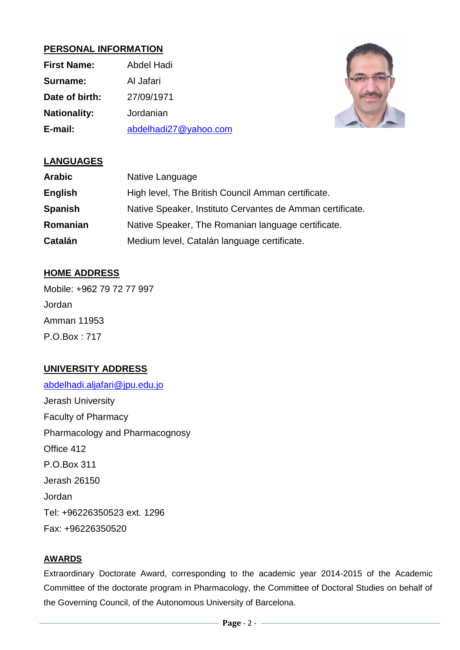## **PERSONAL INFORMATION**

| <b>First Name:</b>  | Abdel Hadi            |
|---------------------|-----------------------|
| Surname:            | Al Jafari             |
| Date of birth:      | 27/09/1971            |
| <b>Nationality:</b> | Jordanian             |
| E-mail:             | abdelhadi27@yahoo.com |



## **LANGUAGES**

| <b>Arabic</b>  | Native Language                                           |
|----------------|-----------------------------------------------------------|
| <b>English</b> | High level, The British Council Amman certificate.        |
| <b>Spanish</b> | Native Speaker, Instituto Cervantes de Amman certificate. |
| Romanian       | Native Speaker, The Romanian language certificate.        |
| Catalán        | Medium level, Catalán language certificate.               |

# **HOME ADDRESS**

Mobile: +962 79 72 77 997 Jordan Amman 11953 P.O.Box : 717

# **UNIVERSITY ADDRESS**

[abdelhadi.aljafari@jpu.edu.jo](mailto:abdelhadi.aljafari@jpu.edu.jo) Jerash University Faculty of Pharmacy Pharmacology and Pharmacognosy Office 412 P.O.Box 311 Jerash 26150 Jordan Tel: +96226350523 ext. 1296 Fax: +96226350520

## **AWARDS**

Extraordinary Doctorate Award, corresponding to the academic year 2014-2015 of the Academic Committee of the doctorate program in Pharmacology, the Committee of Doctoral Studies on behalf of the Governing Council, of the Autonomous University of Barcelona.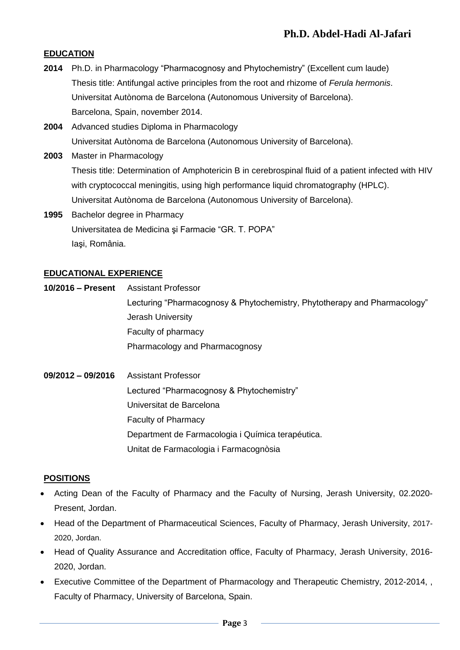### **EDUCATION**

- **2014** Ph.D. in Pharmacology "Pharmacognosy and Phytochemistry" (Excellent cum laude) Thesis title: Antifungal active principles from the root and rhizome of *Ferula hermonis*. Universitat Autònoma de Barcelona (Autonomous University of Barcelona). Barcelona, Spain, november 2014.
- **2004** Advanced studies Diploma in Pharmacology Universitat Autònoma de Barcelona (Autonomous University of Barcelona).
- **2003** Master in Pharmacology Thesis title: Determination of Amphotericin B in cerebrospinal fluid of a patient infected with HIV with cryptococcal meningitis, using high performance liquid chromatography (HPLC). Universitat Autònoma de Barcelona (Autonomous University of Barcelona). **1995** Bachelor degree in Pharmacy
- Universitatea de Medicina şi Farmacie "GR. T. POPA" Iaşi, România.

### **EDUCATIONAL EXPERIENCE**

**10/2016 – Present** Assistant Professor Lecturing "Pharmacognosy & Phytochemistry, Phytotherapy and Pharmacology" Jerash University Faculty of pharmacy Pharmacology and Pharmacognosy

**09/2012 – 09/2016** Assistant Professor Lectured "Pharmacognosy & Phytochemistry" Universitat de Barcelona Faculty of Pharmacy Department de Farmacologia i Química terapéutica. Unitat de Farmacologia i Farmacognòsia

### **POSITIONS**

- Acting Dean of the Faculty of Pharmacy and the Faculty of Nursing, Jerash University, 02.2020- Present, Jordan.
- Head of the Department of Pharmaceutical Sciences, Faculty of Pharmacy, Jerash University, 2017- 2020, Jordan.
- Head of Quality Assurance and Accreditation office, Faculty of Pharmacy, Jerash University, 2016- 2020, Jordan.
- Executive Committee of the Department of Pharmacology and Therapeutic Chemistry, 2012-2014, , Faculty of Pharmacy, University of Barcelona, Spain.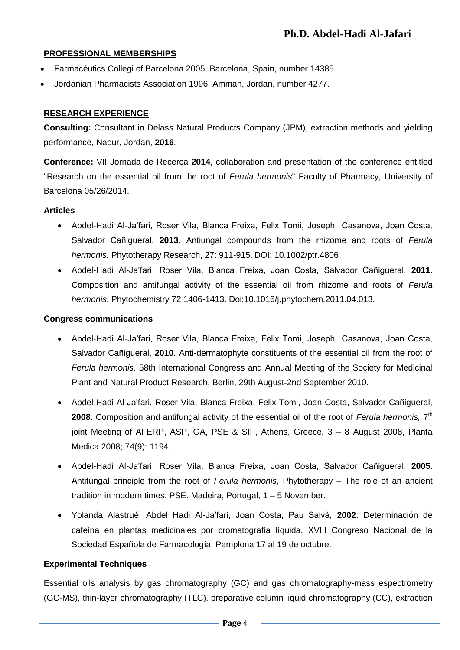#### **PROFESSIONAL MEMBERSHIPS**

- Farmacèutics Collegi of Barcelona 2005, Barcelona, Spain, number 14385.
- Jordanian Pharmacists Association 1996, Amman, Jordan, number 4277.

### **RESEARCH EXPERIENCE**

**Consulting:** Consultant in Delass Natural Products Company (JPM), extraction methods and yielding performance, Naour, Jordan, **2016**.

**Conference:** VII Jornada de Recerca **2014**, collaboration and presentation of the conference entitled "Research on the essential oil from the root of *Ferula hermonis*" Faculty of Pharmacy, University of Barcelona 05/26/2014.

#### **Articles**

- Abdel-Hadi Al-Ja'fari, Roser Vila, Blanca Freixa, Felix Tomi, Joseph Casanova, Joan Costa, Salvador Cañigueral, **2013**. Antiungal compounds from the rhizome and roots of *Ferula hermonis.* Phytotherapy Research, 27: 911-915. DOI: 10.1002/ptr.4806
- Abdel-Hadi Al-Ja'fari, Roser Vila, Blanca Freixa, Joan Costa, Salvador Cañigueral, **2011**. Composition and antifungal activity of the essential oil from rhizome and roots of *Ferula hermonis*. Phytochemistry 72 1406-1413. Doi:10.1016/j.phytochem.2011.04.013.

#### **Congress communications**

- Abdel-Hadi Al-Ja'fari, Roser Vila, Blanca Freixa, Felix Tomi, Joseph Casanova, Joan Costa, Salvador Cañigueral, **2010**. Anti-dermatophyte constituents of the essential oil from the root of *Ferula hermonis*. 58th International Congress and Annual Meeting of the Society for Medicinal Plant and Natural Product Research, Berlin, 29th August-2nd September 2010.
- Abdel-Hadi Al-Ja'fari, Roser Vila, Blanca Freixa, Felix Tomi, Joan Costa, Salvador Cañigueral, 2008. Composition and antifungal activity of the essential oil of the root of *Ferula hermonis*, 7<sup>th</sup> joint Meeting of AFERP, ASP, GA, PSE & SIF, Athens, Greece, 3 – 8 August 2008, Planta Medica 2008; 74(9): 1194.
- Abdel-Hadi Al-Ja'fari, Roser Vila, Blanca Freixa, Joan Costa, Salvador Cañigueral, **2005**. Antifungal principle from the root of *Ferula hermonis*, Phytotherapy – The role of an ancient tradition in modern times. PSE. Madeira, Portugal, 1 – 5 November.
- Yolanda Alastrué, Abdel Hadi Al-Ja'fari, Joan Costa, Pau Salvà, **2002**. Determinación de cafeína en plantas medicinales por cromatografía líquida. XVIII Congreso Nacional de la Sociedad Española de Farmacología, Pamplona 17 al 19 de octubre.

#### **Experimental Techniques**

Essential oils analysis by gas chromatography (GC) and gas chromatography-mass espectrometry (GC-MS), thin-layer chromatography (TLC), preparative column liquid chromatography (CC), extraction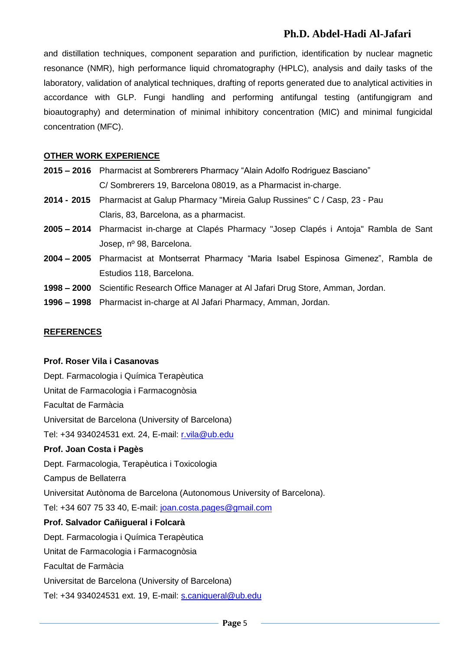## **Ph.D. Abdel-Hadi Al-Jafari**

and distillation techniques, component separation and purifiction, identification by nuclear magnetic resonance (NMR), high performance liquid chromatography (HPLC), analysis and daily tasks of the laboratory, validation of analytical techniques, drafting of reports generated due to analytical activities in accordance with GLP. Fungi handling and performing antifungal testing (antifungigram and bioautography) and determination of minimal inhibitory concentration (MIC) and minimal fungicidal concentration (MFC).

#### **OTHER WORK EXPERIENCE**

- **2015 – 2016** Pharmacist at Sombrerers Pharmacy "Alain Adolfo Rodriguez Basciano" C/ Sombrerers 19, Barcelona 08019, as a Pharmacist in-charge.
- **2014 - 2015** Pharmacist at Galup Pharmacy "Mireia Galup Russines" C / Casp, 23 Pau Claris, 83, Barcelona, as a pharmacist.
- **2005 – 2014** Pharmacist in-charge at Clapés Pharmacy "Josep Clapés i Antoja" Rambla de Sant Josep, nº 98, Barcelona.
- **2004 – 2005** Pharmacist at Montserrat Pharmacy "Maria Isabel Espinosa Gimenez", Rambla de Estudios 118, Barcelona.
- **1998 – 2000** Scientific Research Office Manager at Al Jafari Drug Store, Amman, Jordan.
- **1996 – 1998** Pharmacist in-charge at Al Jafari Pharmacy, Amman, Jordan.

#### **REFERENCES**

#### **Prof. Roser Vila i Casanovas**

Dept. Farmacologia i Química Terapèutica Unitat de Farmacologia i Farmacognòsia Facultat de Farmàcia Universitat de Barcelona (University of Barcelona) Tel: +34 934024531 ext. 24, E-mail: [r.vila@ub.edu](mailto:r.vila@ub.edu) **Prof. Joan Costa i Pagès** Dept. Farmacologia, Terapèutica i Toxicologia Campus de Bellaterra Universitat Autònoma de Barcelona (Autonomous University of Barcelona). Tel: +34 607 75 33 40, E-mail: [joan.costa.pages@gmail.com](mailto:joan.costa.pages@gmail.com) **Prof. Salvador Cañigueral i Folcarà** Dept. Farmacologia i Química Terapèutica Unitat de Farmacologia i Farmacognòsia Facultat de Farmàcia Universitat de Barcelona (University of Barcelona) Tel: +34 934024531 ext. 19, E-mail: [s.canigueral@ub.edu](mailto:s.canigueral@ub.edu)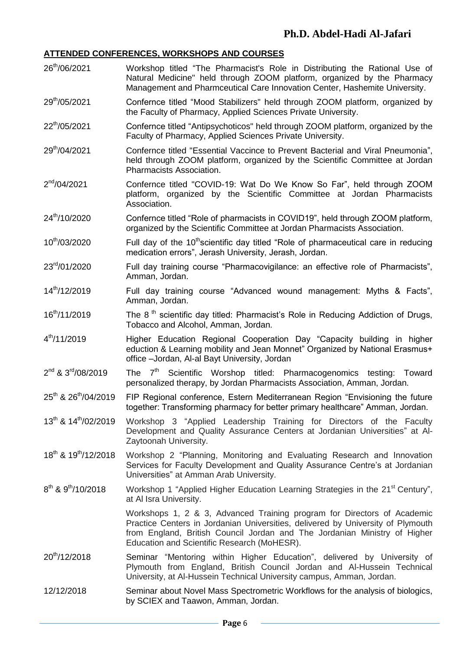#### **ATTENDED CONFERENCES, WORKSHOPS AND COURSES**

- 26<sup>th</sup>/06/2021 Workshop titled "The Pharmacist's Role in Distributing the Rational Use of Natural Medicine" held through ZOOM platform, organized by the Pharmacy Management and Pharmceutical Care Innovation Center, Hashemite University.
- 29<sup>th</sup>/05/2021 Confernce titled "Mood Stabilizers" held through ZOOM platform, organized by the Faculty of Pharmacy, Applied Sciences Private University.
- 22<sup>th</sup>/05/2021 Confernce titled "Antipsychoticos" held through ZOOM platform, organized by the Faculty of Pharmacy, Applied Sciences Private University.
- 29<sup>th</sup>/04/2021 Confernce titled "Essential Vaccince to Prevent Bacterial and Viral Pneumonia", held through ZOOM platform, organized by the Scientific Committee at Jordan Pharmacists Association.
- $2<sup>nd</sup>/04/2021$ Confernce titled "COVID-19: Wat Do We Know So Far", held through ZOOM platform, organized by the Scientific Committee at Jordan Pharmacists Association.
- 24<sup>th</sup>/10/2020 Confernce titled "Role of pharmacists in COVID19", held through ZOOM platform, organized by the Scientific Committee at Jordan Pharmacists Association.
- 10<sup>th</sup>/03/2020 Full day of the 10<sup>th</sup>scientific day titled "Role of pharmaceutical care in reducing medication errors", Jerash University, Jerash, Jordan.
- 23<sup>rd</sup>/01/2020 Full day training course "Pharmacovigilance: an effective role of Pharmacists". Amman, Jordan.
- 14th/12/2019 Full day training course "Advanced wound management: Myths & Facts", Amman, Jordan.
- 16<sup>th</sup>/11/2019 The 8<sup>th</sup> scientific day titled: Pharmacist's Role in Reducing Addiction of Drugs, Tobacco and Alcohol, Amman, Jordan.
- $4^{th}/11/2019$ Higher Education Regional Cooperation Day "Capacity building in higher eduction & Learning mobility and Jean Monnet" Organized by National Erasmus+ office –Jordan, Al-al Bayt University, Jordan
- $2^{nd}$  &  $3^{rd}/08/2019$ The  $7<sup>th</sup>$  Scientific Worshop titled: Pharmacogenomics testing: Toward personalized therapy, by Jordan Pharmacists Association, Amman, Jordan.
- 25<sup>th</sup> & 26<sup>th</sup>/04/2019 FIP Regional conference, Estern Mediterranean Region "Envisioning the future together: Transforming pharmacy for better primary healthcare" Amman, Jordan.
- 13<sup>th</sup> & 14<sup>th</sup>/02/2019 Workshop 3 "Applied Leadership Training for Directors of the Faculty Development and Quality Assurance Centers at Jordanian Universities" at Al-Zaytoonah University.
- 18<sup>th</sup> & 19 Workshop 2 "Planning, Monitoring and Evaluating Research and Innovation Services for Faculty Development and Quality Assurance Centre's at Jordanian Universities" at Amman Arab University.
- 8<sup>th</sup> & 9<sup>th</sup>/10/2018 Workshop 1 "Applied Higher Education Learning Strategies in the 21<sup>st</sup> Century", at Al Isra University.

Workshops 1, 2 & 3, Advanced Training program for Directors of Academic Practice Centers in Jordanian Universities, delivered by University of Plymouth from England, British Council Jordan and The Jordanian Ministry of Higher Education and Scientific Research (MoHESR).

- 20<sup>th</sup>/12/2018 Seminar "Mentoring within Higher Education", delivered by University of Plymouth from England, British Council Jordan and Al-Hussein Technical University, at Al-Hussein Technical University campus, Amman, Jordan.
- 12/12/2018 Seminar about Novel Mass Spectrometric Workflows for the analysis of biologics, by SCIEX and Taawon, Amman, Jordan.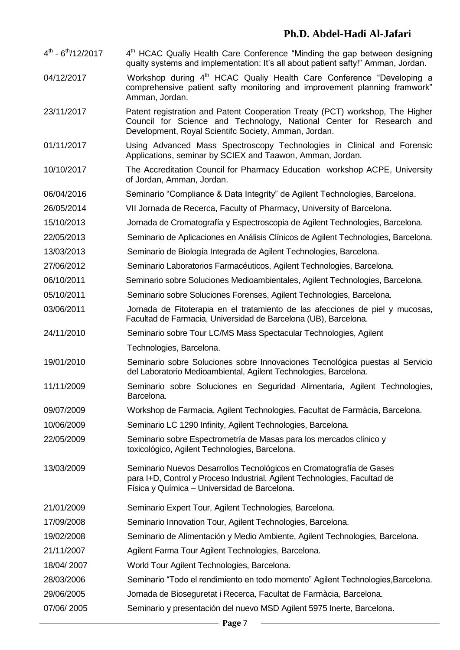## **Ph.D. Abdel-Hadi Al-Jafari**

- $4^{\text{th}}$   $6^{\text{th}}$ /12/2017 4  $4<sup>th</sup>$  HCAC Qualiy Health Care Conference "Minding the gap between designing qualty systems and implementation: It's all about patient safty!" Amman, Jordan.
- 04/12/2017 Workshop during 4<sup>th</sup> HCAC Qualiy Health Care Conference "Developing a comprehensive patient safty monitoring and improvement planning framwork" Amman, Jordan.
- 23/11/2017 Patent registration and Patent Cooperation Treaty (PCT) workshop, The Higher Council for Science and Technology, National Center for Research and Development, Royal Scientifc Society, Amman, Jordan.
- 01/11/2017 Using Advanced Mass Spectroscopy Technologies in Clinical and Forensic Applications, seminar by SCIEX and Taawon, Amman, Jordan.
- 10/10/2017 The Accreditation Council for Pharmacy Education workshop ACPE, University of Jordan, Amman, Jordan.
- 06/04/2016 Seminario "Compliance & Data Integrity" de Agilent Technologies, Barcelona.
- 26/05/2014 VII Jornada de Recerca, Faculty of Pharmacy, University of Barcelona.
- 15/10/2013 Jornada de Cromatografía y Espectroscopia de Agilent Technologies, Barcelona.
- 22/05/2013 Seminario de Aplicaciones en Análisis Clínicos de Agilent Technologies, Barcelona.
- 13/03/2013 Seminario de Biología Integrada de Agilent Technologies, Barcelona.
- 27/06/2012 Seminario Laboratorios Farmacéuticos, Agilent Technologies, Barcelona.
- 06/10/2011 Seminario sobre Soluciones Medioambientales, Agilent Technologies, Barcelona.
- 05/10/2011 Seminario sobre Soluciones Forenses, Agilent Technologies, Barcelona.
- 03/06/2011 Jornada de Fitoterapia en el tratamiento de las afecciones de piel y mucosas, Facultad de Farmacia, Universidad de Barcelona (UB), Barcelona.
- 24/11/2010 Seminario sobre Tour LC/MS Mass Spectacular Technologies, Agilent Technologies, Barcelona.
- 19/01/2010 Seminario sobre Soluciones sobre Innovaciones Tecnológica puestas al Servicio del Laboratorio Medioambiental, Agilent Technologies, Barcelona.
- 11/11/2009 Seminario sobre Soluciones en Seguridad Alimentaria, Agilent Technologies, Barcelona.
- 09/07/2009 Workshop de Farmacia, Agilent Technologies, Facultat de Farmàcia, Barcelona.
- 10/06/2009 Seminario LC 1290 Infinity, Agilent Technologies, Barcelona.
- 22/05/2009 Seminario sobre Espectrometría de Masas para los mercados clínico y toxicológico, Agilent Technologies, Barcelona.
- 13/03/2009 Seminario Nuevos Desarrollos Tecnológicos en Cromatografía de Gases para I+D, Control y Proceso Industrial, Agilent Technologies, Facultad de Física y Química – Universidad de Barcelona.
- 21/01/2009 Seminario Expert Tour, Agilent Technologies, Barcelona.
- 17/09/2008 Seminario Innovation Tour, Agilent Technologies, Barcelona.
- 19/02/2008 Seminario de Alimentación y Medio Ambiente, Agilent Technologies, Barcelona.
- 21/11/2007 Agilent Farma Tour Agilent Technologies, Barcelona.
- 18/04/ 2007 World Tour Agilent Technologies, Barcelona.
- 28/03/2006 Seminario "Todo el rendimiento en todo momento" Agilent Technologies,Barcelona.
- 29/06/2005 Jornada de Bioseguretat i Recerca, Facultat de Farmàcia, Barcelona.
- 07/06/ 2005 Seminario y presentación del nuevo MSD Agilent 5975 Inerte, Barcelona.